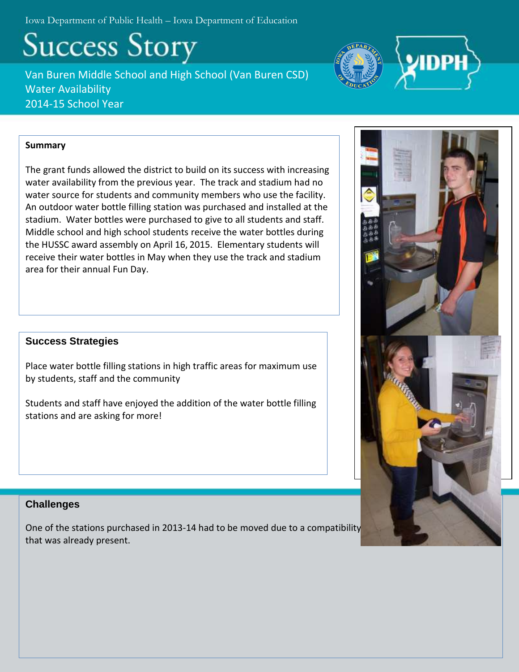Iowa Department of Public Health – Iowa Department of Education

**Success Story** 

Van Buren Middle School and High School (Van Buren CSD) Water Availability 2014-15 School Year



## **Summary**

The grant funds allowed the district to build on its success with increasing water availability from the previous year. The track and stadium had no water source for students and community members who use the facility. An outdoor water bottle filling station was purchased and installed at the stadium. Water bottles were purchased to give to all students and staff. Middle school and high school students receive the water bottles during the HUSSC award assembly on April 16, 2015. Elementary students will receive their water bottles in May when they use the track and stadium area for their annual Fun Day.

## **Success Strategies**

Place water bottle filling stations in high traffic areas for maximum use by students, staff and the community

Students and staff have enjoyed the addition of the water bottle filling stations and are asking for more!

# **Challenges**

One of the stations purchased in 2013-14 had to be moved due to a compatibility that was already present.